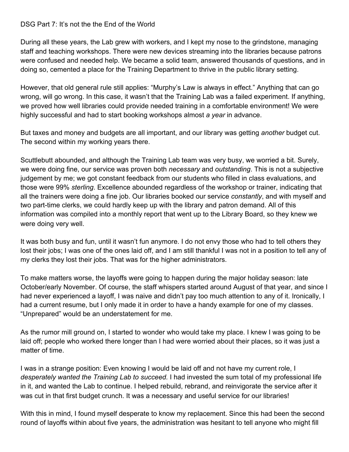## DSG Part 7: It's not the the End of the World

During all these years, the Lab grew with workers, and I kept my nose to the grindstone, managing staff and teaching workshops. There were new devices streaming into the libraries because patrons were confused and needed help. We became a solid team, answered thousands of questions, and in doing so, cemented a place for the Training Department to thrive in the public library setting.

However, that old general rule still applies: "Murphy's Law is always in effect." Anything that can go wrong, will go wrong. In this case, it wasn't that the Training Lab was a failed experiment. If anything, we proved how well libraries could provide needed training in a comfortable environment! We were highly successful and had to start booking workshops almost *a year* in advance.

But taxes and money and budgets are all important, and our library was getting *another* budget cut. The second within my working years there.

Scuttlebutt abounded, and although the Training Lab team was very busy, we worried a bit. Surely, we were doing fine, our service was proven both *necessary* and *outstanding*. This is not a subjective judgement by me; we got constant feedback from our students who filled in class evaluations, and those were 99% *sterling*. Excellence abounded regardless of the workshop or trainer, indicating that all the trainers were doing a fine job. Our libraries booked our service *constantly*, and with myself and two part-time clerks, we could hardly keep up with the library and patron demand. All of this information was compiled into a monthly report that went up to the Library Board, so they knew we were doing very well.

It was both busy and fun, until it wasn't fun anymore. I do not envy those who had to tell others they lost their jobs; I was one of the ones laid off, and I am still thankful I was not in a position to tell any of my clerks they lost their jobs. That was for the higher administrators.

To make matters worse, the layoffs were going to happen during the major holiday season: late October/early November. Of course, the staff whispers started around August of that year, and since I had never experienced a layoff, I was naive and didn't pay too much attention to any of it. Ironically, I had a current resume, but I only made it in order to have a handy example for one of my classes. "Unprepared" would be an understatement for me.

As the rumor mill ground on, I started to wonder who would take my place. I knew I was going to be laid off; people who worked there longer than I had were worried about their places, so it was just a matter of time.

I was in a strange position: Even knowing I would be laid off and not have my current role, I *desperately wanted the Training Lab to succeed.* I had invested the sum total of my professional life in it, and wanted the Lab to continue. I helped rebuild, rebrand, and reinvigorate the service after it was cut in that first budget crunch. It was a necessary and useful service for our libraries!

With this in mind, I found myself desperate to know my replacement. Since this had been the second round of layoffs within about five years, the administration was hesitant to tell anyone who might fill